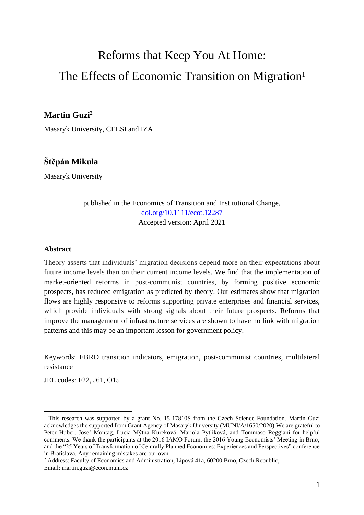# Reforms that Keep You At Home: The Effects of Economic Transition on Migration<sup>1</sup>

# **Martin Guzi<sup>2</sup>**

Masaryk University, CELSI and IZA

# **Štěpán Mikula**

Masaryk University

published in the Economics of Transition and Institutional Change, [doi.org/10.1111/ecot.12287](http://doi.org/10.1111/ecot.12287) Accepted version: April 2021

# **Abstract**

Theory asserts that individuals' migration decisions depend more on their expectations about future income levels than on their current income levels. We find that the implementation of market-oriented reforms in post-communist countries, by forming positive economic prospects, has reduced emigration as predicted by theory. Our estimates show that migration flows are highly responsive to reforms supporting private enterprises and financial services, which provide individuals with strong signals about their future prospects. Reforms that improve the management of infrastructure services are shown to have no link with migration patterns and this may be an important lesson for government policy.

Keywords: EBRD transition indicators, emigration, post-communist countries, multilateral resistance

JEL codes: F22, J61, O15

<sup>&</sup>lt;sup>1</sup> This research was supported by a grant No. 15-17810S from the Czech Science Foundation. Martin Guzi acknowledges the supported from Grant Agency of Masaryk University (MUNI/A/1650/2020).We are grateful to Peter Huber, Josef Montag, Lucia Mýtna Kureková, Mariola Pytliková, and Tommaso Reggiani for helpful comments. We thank the participants at the 2016 IAMO Forum, the 2016 Young Economists' Meeting in Brno, and the "25 Years of Transformation of Centrally Planned Economies: Experiences and Perspectives" conference in Bratislava. Any remaining mistakes are our own.

<sup>&</sup>lt;sup>2</sup> Address: Faculty of Economics and Administration, Lipová 41a, 60200 Brno, Czech Republic, Email: martin.guzi@econ.muni.cz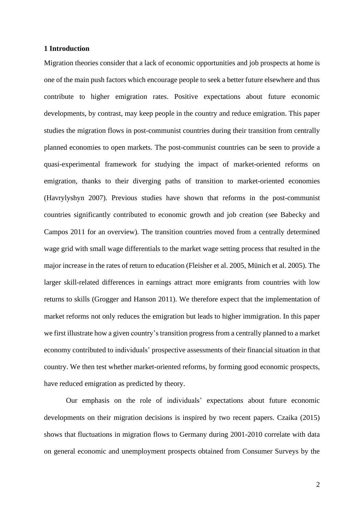#### **1 Introduction**

Migration theories consider that a lack of economic opportunities and job prospects at home is one of the main push factors which encourage people to seek a better future elsewhere and thus contribute to higher emigration rates. Positive expectations about future economic developments, by contrast, may keep people in the country and reduce emigration. This paper studies the migration flows in post-communist countries during their transition from centrally planned economies to open markets. The post-communist countries can be seen to provide a quasi-experimental framework for studying the impact of market-oriented reforms on emigration, thanks to their diverging paths of transition to market-oriented economies (Havrylyshyn 2007). Previous studies have shown that reforms in the post-communist countries significantly contributed to economic growth and job creation (see Babecky and Campos 2011 for an overview). The transition countries moved from a centrally determined wage grid with small wage differentials to the market wage setting process that resulted in the major increase in the rates of return to education (Fleisher et al. 2005, Münich et al. 2005). The larger skill-related differences in earnings attract more emigrants from countries with low returns to skills (Grogger and Hanson 2011). We therefore expect that the implementation of market reforms not only reduces the emigration but leads to higher immigration. In this paper we first illustrate how a given country's transition progress from a centrally planned to a market economy contributed to individuals' prospective assessments of their financial situation in that country. We then test whether market-oriented reforms, by forming good economic prospects, have reduced emigration as predicted by theory.

Our emphasis on the role of individuals' expectations about future economic developments on their migration decisions is inspired by two recent papers. Czaika (2015) shows that fluctuations in migration flows to Germany during 2001-2010 correlate with data on general economic and unemployment prospects obtained from Consumer Surveys by the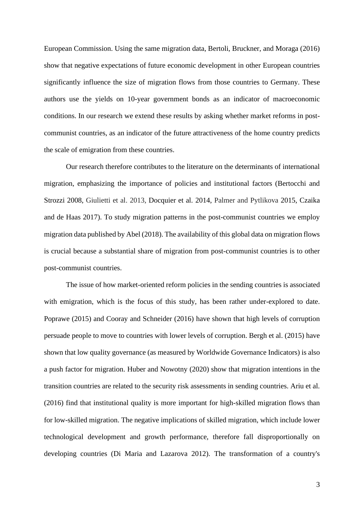European Commission. Using the same migration data, Bertoli, Bruckner, and Moraga (2016) show that negative expectations of future economic development in other European countries significantly influence the size of migration flows from those countries to Germany. These authors use the yields on 10-year government bonds as an indicator of macroeconomic conditions. In our research we extend these results by asking whether market reforms in postcommunist countries, as an indicator of the future attractiveness of the home country predicts the scale of emigration from these countries.

Our research therefore contributes to the literature on the determinants of international migration, emphasizing the importance of policies and institutional factors (Bertocchi and Strozzi 2008, Giulietti et al. 2013, Docquier et al. 2014, Palmer and Pytlikova 2015, Czaika and de Haas 2017). To study migration patterns in the post-communist countries we employ migration data published by Abel (2018). The availability of this global data on migration flows is crucial because a substantial share of migration from post-communist countries is to other post-communist countries.

The issue of how market-oriented reform policies in the sending countries is associated with emigration, which is the focus of this study, has been rather under-explored to date. Poprawe (2015) and Cooray and Schneider (2016) have shown that high levels of corruption persuade people to move to countries with lower levels of corruption. Bergh et al. (2015) have shown that low quality governance (as measured by Worldwide Governance Indicators) is also a push factor for migration. Huber and Nowotny (2020) show that migration intentions in the transition countries are related to the security risk assessments in sending countries. Ariu et al. (2016) find that institutional quality is more important for high-skilled migration flows than for low-skilled migration. The negative implications of skilled migration, which include lower technological development and growth performance, therefore fall disproportionally on developing countries (Di Maria and Lazarova 2012). The transformation of a country's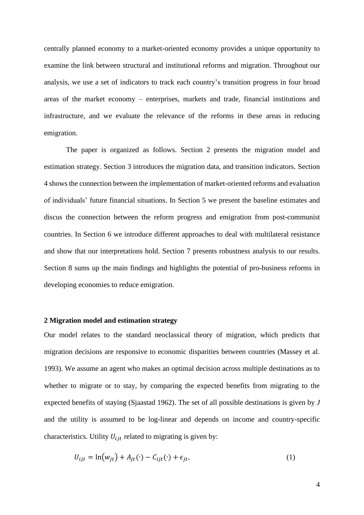centrally planned economy to a market-oriented economy provides a unique opportunity to examine the link between structural and institutional reforms and migration. Throughout our analysis, we use a set of indicators to track each country's transition progress in four broad areas of the market economy – enterprises, markets and trade, financial institutions and infrastructure, and we evaluate the relevance of the reforms in these areas in reducing emigration.

The paper is organized as follows. Section 2 presents the migration model and estimation strategy. Section 3 introduces the migration data, and transition indicators. Section 4 shows the connection between the implementation of market-oriented reforms and evaluation of individuals' future financial situations. In Section 5 we present the baseline estimates and discus the connection between the reform progress and emigration from post-communist countries. In Section 6 we introduce different approaches to deal with multilateral resistance and show that our interpretations hold. Section 7 presents robustness analysis to our results. Section 8 sums up the main findings and highlights the potential of pro-business reforms in developing economies to reduce emigration.

# **2 Migration model and estimation strategy**

Our model relates to the standard neoclassical theory of migration, which predicts that migration decisions are responsive to economic disparities between countries (Massey et al. 1993). We assume an agent who makes an optimal decision across multiple destinations as to whether to migrate or to stay, by comparing the expected benefits from migrating to the expected benefits of staying (Sjaastad 1962). The set of all possible destinations is given by *J* and the utility is assumed to be log-linear and depends on income and country-specific characteristics. Utility  $U_{ijt}$  related to migrating is given by:

$$
U_{ijt} = \ln(w_{jt}) + A_{jt}(\cdot) - C_{ijt}(\cdot) + \epsilon_{jt},\tag{1}
$$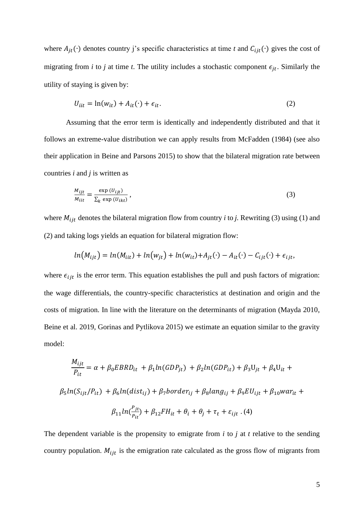where  $A_{it}(\cdot)$  denotes country j's specific characteristics at time *t* and  $C_{iit}(\cdot)$  gives the cost of migrating from *i* to *j* at time *t*. The utility includes a stochastic component  $\epsilon_{it}$ . Similarly the utility of staying is given by:

$$
U_{iit} = \ln(w_{it}) + A_{it}(\cdot) + \epsilon_{it}.
$$
\n<sup>(2)</sup>

Assuming that the error term is identically and independently distributed and that it follows an extreme-value distribution we can apply results from McFadden (1984) (see also their application in Beine and Parsons 2015) to show that the bilateral migration rate between countries *i* and *j* is written as

$$
\frac{M_{ijt}}{M_{iit}} = \frac{\exp(U_{ijt})}{\sum_{k} \exp(U_{ikt})},
$$
\n(3)

where  $M_{ijt}$  denotes the bilateral migration flow from country *i* to *j*. Rewriting (3) using (1) and (2) and taking logs yields an equation for bilateral migration flow:

$$
ln(M_{ijt}) = ln(M_{iit}) + ln(w_{jt}) + ln(w_{it}) + A_{jt}(\cdot) - A_{it}(\cdot) - C_{ijt}(\cdot) + \epsilon_{ijt},
$$

where  $\epsilon_{ijt}$  is the error term. This equation establishes the pull and push factors of migration: the wage differentials, the country-specific characteristics at destination and origin and the costs of migration. In line with the literature on the determinants of migration (Mayda 2010, Beine et al. 2019, Gorinas and Pytlikova 2015) we estimate an equation similar to the gravity model:

$$
\frac{M_{ijt}}{P_{it}} = \alpha + \beta_0 EBRD_{it} + \beta_1 ln(GDP_{jt}) + \beta_2 ln(GDP_{it}) + \beta_3 U_{jt} + \beta_4 U_{it} +
$$
  

$$
\beta_5 ln(S_{ijt}/P_{it}) + \beta_6 ln(dist_{ij}) + \beta_7 border_{ij} + \beta_8 lang_{ij} + \beta_9 EU_{ijt} + \beta_{10} war_{it} +
$$
  

$$
\beta_{11} ln(\frac{P_{jt}}{P_{it}}) + \beta_{12} FH_{it} + \theta_i + \theta_j + \tau_t + \varepsilon_{ijt} . (4)
$$

The dependent variable is the propensity to emigrate from *i* to *j* at *t* relative to the sending country population.  $M_{ijt}$  is the emigration rate calculated as the gross flow of migrants from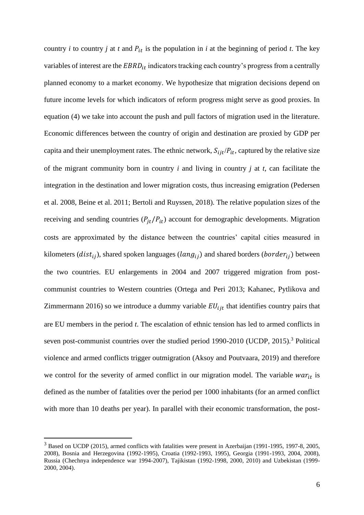country *i* to country *j* at *t* and  $P_{it}$  is the population in *i* at the beginning of period *t*. The key variables of interest are the  $EBRD_{it}$  indicators tracking each country's progress from a centrally planned economy to a market economy. We hypothesize that migration decisions depend on future income levels for which indicators of reform progress might serve as good proxies. In equation (4) we take into account the push and pull factors of migration used in the literature. Economic differences between the country of origin and destination are proxied by GDP per capita and their unemployment rates. The ethnic network,  $S_{ijt}/P_{it}$ , captured by the relative size of the migrant community born in country *i* and living in country *j* at *t*, can facilitate the integration in the destination and lower migration costs, thus increasing emigration (Pedersen et al. 2008, Beine et al. 2011; Bertoli and Ruyssen, 2018). The relative population sizes of the receiving and sending countries  $(P_{jt}/P_{it})$  account for demographic developments. Migration costs are approximated by the distance between the countries' capital cities measured in kilometers ( $dist_{ij}$ ), shared spoken languages ( $lang_{ij}$ ) and shared borders ( $border_{ij}$ ) between the two countries. EU enlargements in 2004 and 2007 triggered migration from postcommunist countries to Western countries (Ortega and Peri 2013; Kahanec, Pytlikova and Zimmermann 2016) so we introduce a dummy variable  $EU_{ijt}$  that identifies country pairs that are EU members in the period *t*. The escalation of ethnic tension has led to armed conflicts in seven post-communist countries over the studied period 1990-2010 (UCDP, 2015).<sup>3</sup> Political violence and armed conflicts trigger outmigration (Aksoy and Poutvaara, 2019) and therefore we control for the severity of armed conflict in our migration model. The variable  $war_{it}$  is defined as the number of fatalities over the period per 1000 inhabitants (for an armed conflict with more than 10 deaths per year). In parallel with their economic transformation, the post-

<sup>3</sup> Based on UCDP (2015), armed conflicts with fatalities were present in Azerbaijan (1991-1995, 1997-8, 2005, 2008), Bosnia and Herzegovina (1992-1995), Croatia (1992-1993, 1995), Georgia (1991-1993, 2004, 2008), Russia (Chechnya independence war 1994-2007), Tajikistan (1992-1998, 2000, 2010) and Uzbekistan (1999- 2000, 2004).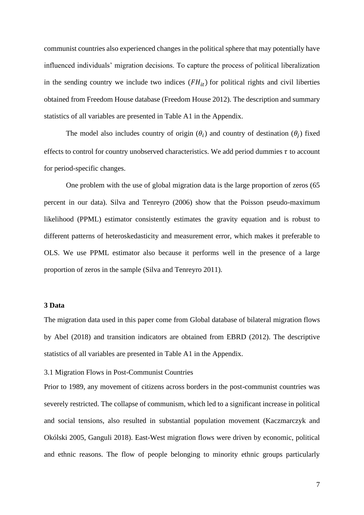communist countries also experienced changes in the political sphere that may potentially have influenced individuals' migration decisions. To capture the process of political liberalization in the sending country we include two indices  $(FH_{it})$  for political rights and civil liberties obtained from Freedom House database (Freedom House 2012). The description and summary statistics of all variables are presented in Table A1 in the Appendix.

The model also includes country of origin  $(\theta_i)$  and country of destination  $(\theta_j)$  fixed effects to control for country unobserved characteristics. We add period dummies  $\tau$  to account for period-specific changes.

One problem with the use of global migration data is the large proportion of zeros (65 percent in our data). Silva and Tenreyro (2006) show that the Poisson pseudo-maximum likelihood (PPML) estimator consistently estimates the gravity equation and is robust to different patterns of heteroskedasticity and measurement error, which makes it preferable to OLS. We use PPML estimator also because it performs well in the presence of a large proportion of zeros in the sample (Silva and Tenreyro 2011).

## **3 Data**

The migration data used in this paper come from Global database of bilateral migration flows by Abel (2018) and transition indicators are obtained from EBRD (2012). The descriptive statistics of all variables are presented in Table A1 in the Appendix.

## 3.1 Migration Flows in Post-Communist Countries

Prior to 1989, any movement of citizens across borders in the post-communist countries was severely restricted. The collapse of communism, which led to a significant increase in political and social tensions, also resulted in substantial population movement (Kaczmarczyk and Okólski 2005, Ganguli 2018). East-West migration flows were driven by economic, political and ethnic reasons. The flow of people belonging to minority ethnic groups particularly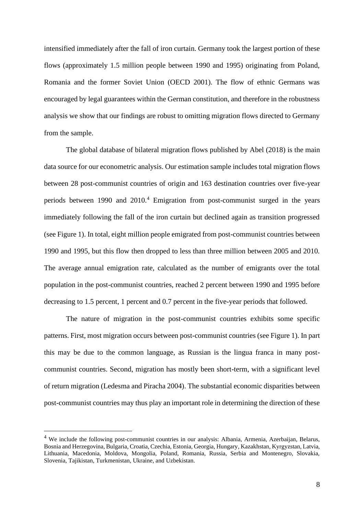intensified immediately after the fall of iron curtain. Germany took the largest portion of these flows (approximately 1.5 million people between 1990 and 1995) originating from Poland, Romania and the former Soviet Union (OECD 2001). The flow of ethnic Germans was encouraged by legal guarantees within the German constitution, and therefore in the robustness analysis we show that our findings are robust to omitting migration flows directed to Germany from the sample.

The global database of bilateral migration flows published by Abel (2018) is the main data source for our econometric analysis. Our estimation sample includes total migration flows between 28 post-communist countries of origin and 163 destination countries over five-year periods between 1990 and 2010.<sup>4</sup> Emigration from post-communist surged in the years immediately following the fall of the iron curtain but declined again as transition progressed (see Figure 1). In total, eight million people emigrated from post-communist countries between 1990 and 1995, but this flow then dropped to less than three million between 2005 and 2010. The average annual emigration rate, calculated as the number of emigrants over the total population in the post-communist countries, reached 2 percent between 1990 and 1995 before decreasing to 1.5 percent, 1 percent and 0.7 percent in the five-year periods that followed.

The nature of migration in the post-communist countries exhibits some specific patterns. First, most migration occurs between post-communist countries (see Figure 1). In part this may be due to the common language, as Russian is the lingua franca in many postcommunist countries. Second, migration has mostly been short-term, with a significant level of return migration (Ledesma and Piracha 2004). The substantial economic disparities between post-communist countries may thus play an important role in determining the direction of these

<sup>&</sup>lt;sup>4</sup> We include the following post-communist countries in our analysis: Albania, Armenia, Azerbaijan, Belarus, Bosnia and Herzegovina, Bulgaria, Croatia, Czechia, Estonia, Georgia, Hungary, Kazakhstan, Kyrgyzstan, Latvia, Lithuania, Macedonia, Moldova, Mongolia, Poland, Romania, Russia, Serbia and Montenegro, Slovakia, Slovenia, Tajikistan, Turkmenistan, Ukraine, and Uzbekistan.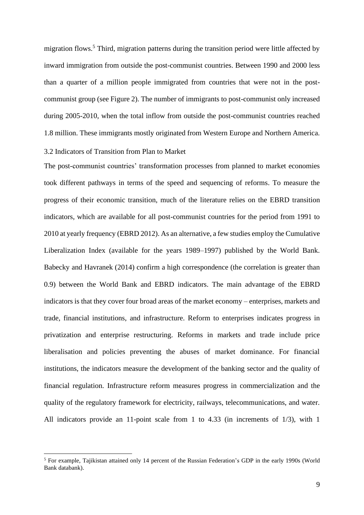migration flows.<sup>5</sup> Third, migration patterns during the transition period were little affected by inward immigration from outside the post-communist countries. Between 1990 and 2000 less than a quarter of a million people immigrated from countries that were not in the postcommunist group (see Figure 2). The number of immigrants to post-communist only increased during 2005-2010, when the total inflow from outside the post-communist countries reached 1.8 million. These immigrants mostly originated from Western Europe and Northern America.

# 3.2 Indicators of Transition from Plan to Market

The post-communist countries' transformation processes from planned to market economies took different pathways in terms of the speed and sequencing of reforms. To measure the progress of their economic transition, much of the literature relies on the EBRD transition indicators, which are available for all post-communist countries for the period from 1991 to 2010 at yearly frequency (EBRD 2012). As an alternative, a few studies employ the Cumulative Liberalization Index (available for the years 1989–1997) published by the World Bank. Babecky and Havranek (2014) confirm a high correspondence (the correlation is greater than 0.9) between the World Bank and EBRD indicators. The main advantage of the EBRD indicators is that they cover four broad areas of the market economy – enterprises, markets and trade, financial institutions, and infrastructure. Reform to enterprises indicates progress in privatization and enterprise restructuring. Reforms in markets and trade include price liberalisation and policies preventing the abuses of market dominance. For financial institutions, the indicators measure the development of the banking sector and the quality of financial regulation. Infrastructure reform measures progress in commercialization and the quality of the regulatory framework for electricity, railways, telecommunications, and water. All indicators provide an 11-point scale from 1 to 4.33 (in increments of 1/3), with 1

<sup>5</sup> For example, Tajikistan attained only 14 percent of the Russian Federation's GDP in the early 1990s (World Bank databank).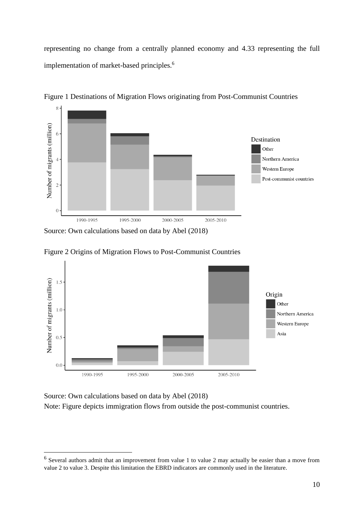representing no change from a centrally planned economy and 4.33 representing the full implementation of market-based principles.<sup>6</sup>



Figure 1 Destinations of Migration Flows originating from Post-Communist Countries

Source: Own calculations based on data by Abel (2018)

Figure 2 Origins of Migration Flows to Post-Communist Countries



Source: Own calculations based on data by Abel (2018) Note: Figure depicts immigration flows from outside the post-communist countries.

 $<sup>6</sup>$  Several authors admit that an improvement from value 1 to value 2 may actually be easier than a move from</sup> value 2 to value 3. Despite this limitation the EBRD indicators are commonly used in the literature.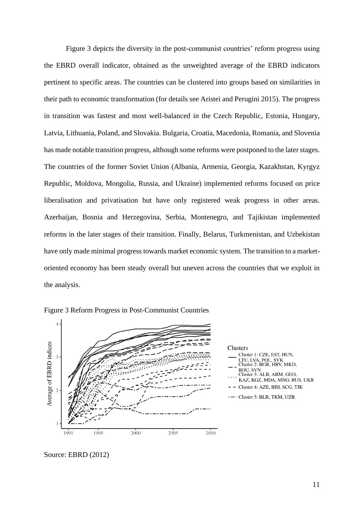Figure 3 depicts the diversity in the post-communist countries' reform progress using the EBRD overall indicator, obtained as the unweighted average of the EBRD indicators pertinent to specific areas. The countries can be clustered into groups based on similarities in their path to economic transformation (for details see Aristei and Perugini 2015). The progress in transition was fastest and most well-balanced in the Czech Republic, Estonia, Hungary, Latvia, Lithuania, Poland, and Slovakia. Bulgaria, Croatia, Macedonia, Romania, and Slovenia has made notable transition progress, although some reforms were postponed to the later stages. The countries of the former Soviet Union (Albania, Armenia, Georgia, Kazakhstan, Kyrgyz Republic, Moldova, Mongolia, Russia, and Ukraine) implemented reforms focused on price liberalisation and privatisation but have only registered weak progress in other areas. Azerbaijan, Bosnia and Herzegovina, Serbia, Montenegro, and Tajikistan implemented reforms in the later stages of their transition. Finally, Belarus, Turkmenistan, and Uzbekistan have only made minimal progress towards market economic system. The transition to a marketoriented economy has been steady overall but uneven across the countries that we exploit in the analysis.







Source: EBRD (2012)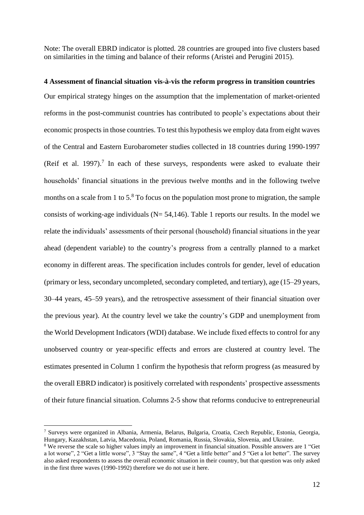Note: The overall EBRD indicator is plotted. 28 countries are grouped into five clusters based on similarities in the timing and balance of their reforms (Aristei and Perugini 2015).

**4 Assessment of financial situation vis-à-vis the reform progress in transition countries** Our empirical strategy hinges on the assumption that the implementation of market-oriented reforms in the post-communist countries has contributed to people's expectations about their economic prospects in those countries. To test this hypothesis we employ data from eight waves of the Central and Eastern Eurobarometer studies collected in 18 countries during 1990-1997 (Reif et al. 1997).<sup>7</sup> In each of these surveys, respondents were asked to evaluate their households' financial situations in the previous twelve months and in the following twelve months on a scale from 1 to  $5<sup>8</sup>$  To focus on the population most prone to migration, the sample consists of working-age individuals ( $N = 54,146$ ). Table 1 reports our results. In the model we relate the individuals' assessments of their personal (household) financial situations in the year ahead (dependent variable) to the country's progress from a centrally planned to a market economy in different areas. The specification includes controls for gender, level of education (primary or less, secondary uncompleted, secondary completed, and tertiary), age (15–29 years, 30–44 years, 45–59 years), and the retrospective assessment of their financial situation over the previous year). At the country level we take the country's GDP and unemployment from the World Development Indicators (WDI) database. We include fixed effects to control for any unobserved country or year-specific effects and errors are clustered at country level. The estimates presented in Column 1 confirm the hypothesis that reform progress (as measured by the overall EBRD indicator) is positively correlated with respondents' prospective assessments of their future financial situation. Columns 2-5 show that reforms conducive to entrepreneurial

<sup>7</sup> Surveys were organized in Albania, Armenia, Belarus, Bulgaria, Croatia, Czech Republic, Estonia, Georgia, Hungary, Kazakhstan, Latvia, Macedonia, Poland, Romania, Russia, Slovakia, Slovenia, and Ukraine.

<sup>8</sup> We reverse the scale so higher values imply an improvement in financial situation. Possible answers are 1 "Get a lot worse", 2 "Get a little worse", 3 "Stay the same", 4 "Get a little better" and 5 "Get a lot better". The survey also asked respondents to assess the overall economic situation in their country, but that question was only asked in the first three waves (1990-1992) therefore we do not use it here.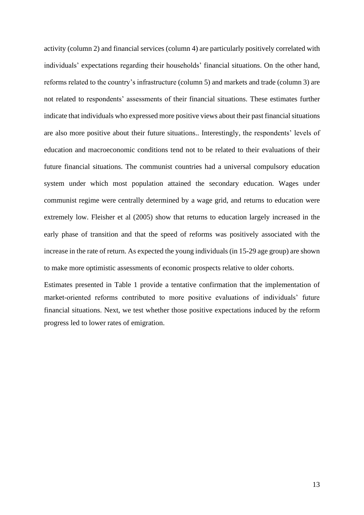activity (column 2) and financial services (column 4) are particularly positively correlated with individuals' expectations regarding their households' financial situations. On the other hand, reforms related to the country's infrastructure (column 5) and markets and trade (column 3) are not related to respondents' assessments of their financial situations. These estimates further indicate that individuals who expressed more positive views about their past financial situations are also more positive about their future situations.. Interestingly, the respondents' levels of education and macroeconomic conditions tend not to be related to their evaluations of their future financial situations. The communist countries had a universal compulsory education system under which most population attained the secondary education. Wages under communist regime were centrally determined by a wage grid, and returns to education were extremely low. Fleisher et al (2005) show that returns to education largely increased in the early phase of transition and that the speed of reforms was positively associated with the increase in the rate of return. As expected the young individuals (in 15-29 age group) are shown to make more optimistic assessments of economic prospects relative to older cohorts.

Estimates presented in Table 1 provide a tentative confirmation that the implementation of market-oriented reforms contributed to more positive evaluations of individuals' future financial situations. Next, we test whether those positive expectations induced by the reform progress led to lower rates of emigration.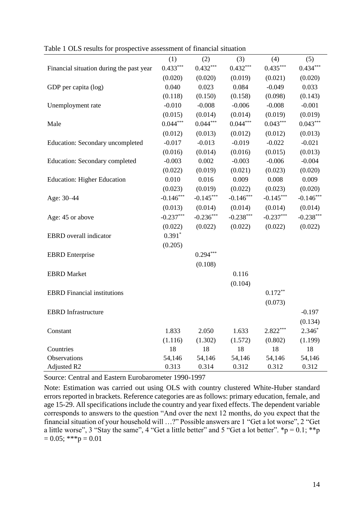|                                          | (1)         | (2)         | (3)         | (4)         | (5)         |
|------------------------------------------|-------------|-------------|-------------|-------------|-------------|
| Financial situation during the past year | $0.433***$  | $0.432***$  | $0.432***$  | $0.435***$  | $0.434***$  |
|                                          | (0.020)     | (0.020)     | (0.019)     | (0.021)     | (0.020)     |
| GDP per capita (log)                     | 0.040       | 0.023       | 0.084       | $-0.049$    | 0.033       |
|                                          | (0.118)     | (0.150)     | (0.158)     | (0.098)     | (0.143)     |
| Unemployment rate                        | $-0.010$    | $-0.008$    | $-0.006$    | $-0.008$    | $-0.001$    |
|                                          | (0.015)     | (0.014)     | (0.014)     | (0.019)     | (0.019)     |
| Male                                     | $0.044***$  | $0.044***$  | $0.044***$  | $0.043***$  | $0.043***$  |
|                                          | (0.012)     | (0.013)     | (0.012)     | (0.012)     | (0.013)     |
| Education: Secondary uncompleted         | $-0.017$    | $-0.013$    | $-0.019$    | $-0.022$    | $-0.021$    |
|                                          | (0.016)     | (0.014)     | (0.016)     | (0.015)     | (0.013)     |
| Education: Secondary completed           | $-0.003$    | 0.002       | $-0.003$    | $-0.006$    | $-0.004$    |
|                                          | (0.022)     | (0.019)     | (0.021)     | (0.023)     | (0.020)     |
| <b>Education: Higher Education</b>       | 0.010       | 0.016       | 0.009       | 0.008       | 0.009       |
|                                          | (0.023)     | (0.019)     | (0.022)     | (0.023)     | (0.020)     |
| Age: 30-44                               | $-0.146***$ | $-0.145***$ | $-0.146***$ | $-0.145***$ | $-0.146***$ |
|                                          | (0.013)     | (0.014)     | (0.014)     | (0.014)     | (0.014)     |
| Age: 45 or above                         | $-0.237***$ | $-0.236***$ | $-0.238***$ | $-0.237***$ | $-0.238***$ |
|                                          | (0.022)     | (0.022)     | (0.022)     | (0.022)     | (0.022)     |
| <b>EBRD</b> overall indicator            | $0.391*$    |             |             |             |             |
|                                          | (0.205)     |             |             |             |             |
| <b>EBRD</b> Enterprise                   |             | $0.294***$  |             |             |             |
|                                          |             | (0.108)     |             |             |             |
| <b>EBRD</b> Market                       |             |             | 0.116       |             |             |
|                                          |             |             | (0.104)     |             |             |
| <b>EBRD</b> Financial institutions       |             |             |             | $0.172**$   |             |
|                                          |             |             |             | (0.073)     |             |
| <b>EBRD</b> Infrastructure               |             |             |             |             | $-0.197$    |
|                                          |             |             |             |             | (0.134)     |
| Constant                                 | 1.833       | 2.050       | 1.633       | $2.822***$  | $2.346*$    |
|                                          | (1.116)     | (1.302)     | (1.572)     | (0.802)     | (1.199)     |
| Countries                                | 18          | 18          | 18          | 18          | 18          |
| Observations                             | 54,146      | 54,146      | 54,146      | 54,146      | 54,146      |
| Adjusted R2                              | 0.313       | 0.314       | 0.312       | 0.312       | 0.312       |

Table 1 OLS results for prospective assessment of financial situation

Source: Central and Eastern Eurobarometer 1990-1997

Note: Estimation was carried out using OLS with country clustered White-Huber standard errors reported in brackets. Reference categories are as follows: primary education, female, and age 15-29. All specifications include the country and year fixed effects. The dependent variable corresponds to answers to the question "And over the next 12 months, do you expect that the financial situation of your household will …?" Possible answers are 1 "Get a lot worse", 2 "Get a little worse", 3 "Stay the same", 4 "Get a little better" and 5 "Get a lot better".  $\mathbf{\hat{p}} = 0.1; \mathbf{\hat{*}\hat{p}}$  $= 0.05$ ; \*\*\*p = 0.01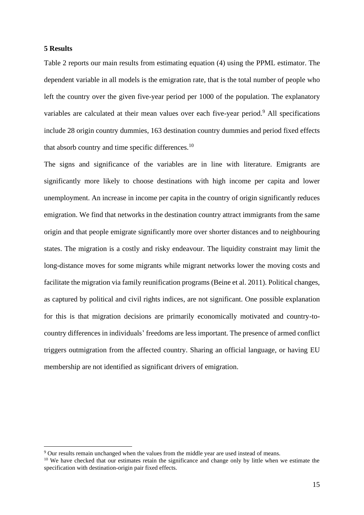## **5 Results**

Table 2 reports our main results from estimating equation (4) using the PPML estimator. The dependent variable in all models is the emigration rate, that is the total number of people who left the country over the given five-year period per 1000 of the population. The explanatory variables are calculated at their mean values over each five-year period.<sup>9</sup> All specifications include 28 origin country dummies, 163 destination country dummies and period fixed effects that absorb country and time specific differences.<sup>10</sup>

The signs and significance of the variables are in line with literature. Emigrants are significantly more likely to choose destinations with high income per capita and lower unemployment. An increase in income per capita in the country of origin significantly reduces emigration. We find that networks in the destination country attract immigrants from the same origin and that people emigrate significantly more over shorter distances and to neighbouring states. The migration is a costly and risky endeavour. The liquidity constraint may limit the long-distance moves for some migrants while migrant networks lower the moving costs and facilitate the migration via family reunification programs (Beine et al. 2011). Political changes, as captured by political and civil rights indices, are not significant. One possible explanation for this is that migration decisions are primarily economically motivated and country-tocountry differences in individuals' freedoms are less important. The presence of armed conflict triggers outmigration from the affected country. Sharing an official language, or having EU membership are not identified as significant drivers of emigration.

<sup>9</sup> Our results remain unchanged when the values from the middle year are used instead of means.

<sup>&</sup>lt;sup>10</sup> We have checked that our estimates retain the significance and change only by little when we estimate the specification with destination-origin pair fixed effects.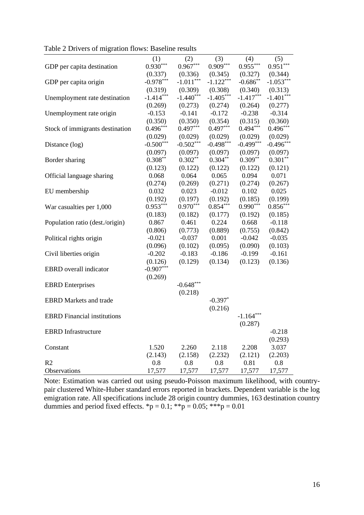|                                    | (1)         | (2)         | (3)         | (4)         | (5)         |
|------------------------------------|-------------|-------------|-------------|-------------|-------------|
| GDP per capita destination         | $0.930***$  | $0.967***$  | $0.909***$  | $0.955***$  | $0.951***$  |
|                                    | (0.337)     | (0.336)     | (0.345)     | (0.327)     | (0.344)     |
| GDP per capita origin              | $-0.978***$ | $-1.011***$ | $-1.122***$ | $-0.686$ ** | $-1.053***$ |
|                                    | (0.319)     | (0.309)     | (0.308)     | (0.340)     | (0.313)     |
| Unemployment rate destination      | $-1.414***$ | $-1.440***$ | $-1.405***$ | $-1.417***$ | $-1.401***$ |
|                                    | (0.269)     | (0.273)     | (0.274)     | (0.264)     | (0.277)     |
| Unemployment rate origin           | $-0.153$    | $-0.141$    | $-0.172$    | $-0.238$    | $-0.314$    |
|                                    | (0.350)     | (0.350)     | (0.354)     | (0.315)     | (0.360)     |
| Stock of immigrants destination    | $0.496***$  | $0.497***$  | $0.497***$  | $0.494***$  | $0.496***$  |
|                                    | (0.029)     | (0.029)     | (0.029)     | (0.029)     | (0.029)     |
| Distance (log)                     | $-0.500***$ | $-0.502***$ | $-0.498***$ | $-0.499***$ | $-0.496***$ |
|                                    | (0.097)     | (0.097)     | (0.097)     | (0.097)     | (0.097)     |
| Border sharing                     | $0.308**$   | $0.302**$   | $0.304***$  | $0.309**$   | $0.301**$   |
|                                    | (0.123)     | (0.122)     | (0.122)     | (0.122)     | (0.121)     |
| Official language sharing          | 0.068       | 0.064       | 0.065       | 0.094       | 0.071       |
|                                    | (0.274)     | (0.269)     | (0.271)     | (0.274)     | (0.267)     |
| EU membership                      | 0.032       | 0.023       | $-0.012$    | 0.102       | 0.025       |
|                                    | (0.192)     | (0.197)     | (0.192)     | (0.185)     | (0.199)     |
| War casualties per 1,000           | $0.953***$  | $0.970***$  | $0.854***$  | $0.990***$  | $0.856***$  |
|                                    | (0.183)     | (0.182)     | (0.177)     | (0.192)     | (0.185)     |
| Population ratio (dest./origin)    | 0.867       | 0.461       | 0.224       | 0.668       | $-0.118$    |
|                                    | (0.806)     | (0.773)     | (0.889)     | (0.755)     | (0.842)     |
| Political rights origin            | $-0.021$    | $-0.037$    | 0.001       | $-0.042$    | $-0.035$    |
|                                    | (0.096)     | (0.102)     | (0.095)     | (0.090)     | (0.103)     |
| Civil liberties origin             | $-0.202$    | $-0.183$    | $-0.186$    | $-0.199$    | $-0.161$    |
|                                    | (0.126)     | (0.129)     | (0.134)     | (0.123)     | (0.136)     |
| <b>EBRD</b> overall indicator      | $-0.907***$ |             |             |             |             |
|                                    | (0.269)     |             |             |             |             |
| <b>EBRD</b> Enterprises            |             | $-0.648***$ |             |             |             |
|                                    |             | (0.218)     |             |             |             |
| <b>EBRD</b> Markets and trade      |             |             | $-0.397*$   |             |             |
|                                    |             |             | (0.216)     |             |             |
| <b>EBRD</b> Financial institutions |             |             |             | $-1.164***$ |             |
|                                    |             |             |             | (0.287)     |             |
| <b>EBRD</b> Infrastructure         |             |             |             |             | $-0.218$    |
|                                    |             |             |             |             | (0.293)     |
| Constant                           | 1.520       | 2.260       | 2.118       | 2.208       | 3.037       |
|                                    | (2.143)     | (2.158)     | (2.232)     | (2.121)     | (2.203)     |
| R <sub>2</sub>                     | 0.8         | 0.8         | 0.8         | 0.81        | 0.8         |
| Observations                       | 17,577      | 17,577      | 17,577      | 17,577      | 17,577      |

Table 2 Drivers of migration flows: Baseline results

Note: Estimation was carried out using pseudo-Poisson maximum likelihood, with countrypair clustered White-Huber standard errors reported in brackets. Dependent variable is the log emigration rate. All specifications include 28 origin country dummies, 163 destination country dummies and period fixed effects. \*p =  $0.1$ ; \*\*p =  $0.05$ ; \*\*\*p =  $0.01$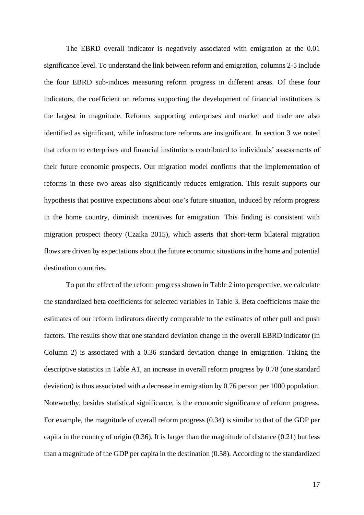The EBRD overall indicator is negatively associated with emigration at the 0.01 significance level. To understand the link between reform and emigration, columns 2-5 include the four EBRD sub-indices measuring reform progress in different areas. Of these four indicators, the coefficient on reforms supporting the development of financial institutions is the largest in magnitude. Reforms supporting enterprises and market and trade are also identified as significant, while infrastructure reforms are insignificant. In section 3 we noted that reform to enterprises and financial institutions contributed to individuals' assessments of their future economic prospects. Our migration model confirms that the implementation of reforms in these two areas also significantly reduces emigration. This result supports our hypothesis that positive expectations about one's future situation, induced by reform progress in the home country, diminish incentives for emigration. This finding is consistent with migration prospect theory (Czaika 2015), which asserts that short-term bilateral migration flows are driven by expectations about the future economic situations in the home and potential destination countries.

To put the effect of the reform progress shown in Table 2 into perspective, we calculate the standardized beta coefficients for selected variables in Table 3. Beta coefficients make the estimates of our reform indicators directly comparable to the estimates of other pull and push factors. The results show that one standard deviation change in the overall EBRD indicator (in Column 2) is associated with a 0.36 standard deviation change in emigration. Taking the descriptive statistics in Table A1, an increase in overall reform progress by 0.78 (one standard deviation) is thus associated with a decrease in emigration by 0.76 person per 1000 population. Noteworthy, besides statistical significance, is the economic significance of reform progress. For example, the magnitude of overall reform progress (0.34) is similar to that of the GDP per capita in the country of origin (0.36). It is larger than the magnitude of distance (0.21) but less than a magnitude of the GDP per capita in the destination (0.58). According to the standardized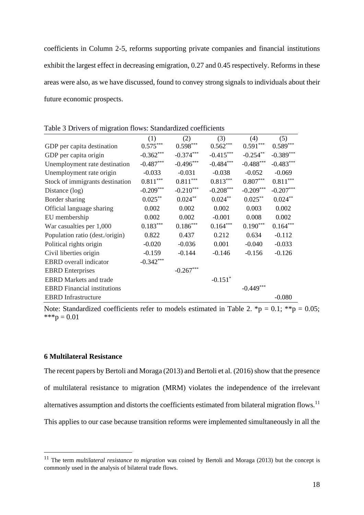coefficients in Column 2-5, reforms supporting private companies and financial institutions exhibit the largest effect in decreasing emigration, 0.27 and 0.45 respectively. Reforms in these areas were also, as we have discussed, found to convey strong signals to individuals about their future economic prospects.

| Tuble 3 DITYCHS OF HILLIGHT HOWS, DRIHGHTGLOG COCHILIGHTS |                        |             |             |             |             |
|-----------------------------------------------------------|------------------------|-------------|-------------|-------------|-------------|
|                                                           | (1)                    | (2)         | (3)         | (4)         | (5)         |
| GDP per capita destination                                | $0.575^{\ast\ast\ast}$ | $0.598***$  | $0.562***$  | $0.591***$  | $0.589***$  |
| GDP per capita origin                                     | $-0.362***$            | $-0.374***$ | $-0.415***$ | $-0.254**$  | $-0.389***$ |
| Unemployment rate destination                             | $-0.487***$            | $-0.496***$ | $-0.484***$ | $-0.488***$ | $-0.483***$ |
| Unemployment rate origin                                  | $-0.033$               | $-0.031$    | $-0.038$    | $-0.052$    | $-0.069$    |
| Stock of immigrants destination                           | $0.811***$             | $0.811***$  | $0.813***$  | $0.807***$  | $0.811***$  |
| Distance (log)                                            | $-0.209***$            | $-0.210***$ | $-0.208***$ | $-0.209***$ | $-0.207***$ |
| Border sharing                                            | $0.025***$             | $0.024**$   | $0.024***$  | $0.025***$  | $0.024***$  |
| Official language sharing                                 | 0.002                  | 0.002       | 0.002       | 0.003       | 0.002       |
| EU membership                                             | 0.002                  | 0.002       | $-0.001$    | 0.008       | 0.002       |
| War casualties per 1,000                                  | $0.183***$             | $0.186***$  | $0.164***$  | $0.190***$  | $0.164***$  |
| Population ratio (dest./origin)                           | 0.822                  | 0.437       | 0.212       | 0.634       | $-0.112$    |
| Political rights origin                                   | $-0.020$               | $-0.036$    | 0.001       | $-0.040$    | $-0.033$    |
| Civil liberties origin                                    | $-0.159$               | $-0.144$    | $-0.146$    | $-0.156$    | $-0.126$    |
| <b>EBRD</b> overall indicator                             | $-0.342***$            |             |             |             |             |
| <b>EBRD</b> Enterprises                                   |                        | $-0.267***$ |             |             |             |
| <b>EBRD</b> Markets and trade                             |                        |             | $-0.151*$   |             |             |
| <b>EBRD</b> Financial institutions                        |                        |             |             | $-0.449***$ |             |
| <b>EBRD</b> Infrastructure                                |                        |             |             |             | $-0.080$    |

Table 3 Drivers of migration flows: Standardized coefficients

Note: Standardized coefficients refer to models estimated in Table 2. \*p = 0.1; \*\*p = 0.05;  $***p = 0.01$ 

# **6 Multilateral Resistance**

The recent papers by Bertoli and Moraga (2013) and Bertoli et al. (2016) show that the presence of multilateral resistance to migration (MRM) violates the independence of the irrelevant alternatives assumption and distorts the coefficients estimated from bilateral migration flows.<sup>11</sup> This applies to our case because transition reforms were implemented simultaneously in all the

<sup>11</sup> The term *multilateral resistance to migration* was coined by Bertoli and Moraga (2013) but the concept is commonly used in the analysis of bilateral trade flows.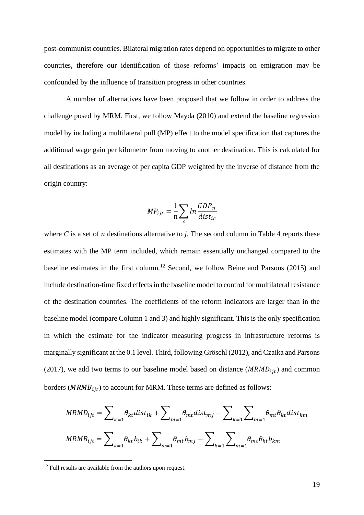post-communist countries. Bilateral migration rates depend on opportunities to migrate to other countries, therefore our identification of those reforms' impacts on emigration may be confounded by the influence of transition progress in other countries.

A number of alternatives have been proposed that we follow in order to address the challenge posed by MRM. First, we follow Mayda (2010) and extend the baseline regression model by including a multilateral pull (MP) effect to the model specification that captures the additional wage gain per kilometre from moving to another destination. This is calculated for all destinations as an average of per capita GDP weighted by the inverse of distance from the origin country:

$$
MP_{ijt} = \frac{1}{n} \sum_{c} ln \frac{GDP_{ct}}{dist_{ic}}
$$

where  $C$  is a set of  $n$  destinations alternative to  $i$ . The second column in Table 4 reports these estimates with the MP term included, which remain essentially unchanged compared to the baseline estimates in the first column. <sup>12</sup> Second, we follow Beine and Parsons (2015) and include destination-time fixed effects in the baseline model to control for multilateral resistance of the destination countries. The coefficients of the reform indicators are larger than in the baseline model (compare Column 1 and 3) and highly significant. This is the only specification in which the estimate for the indicator measuring progress in infrastructure reforms is marginally significant at the 0.1 level. Third, following Gröschl (2012), and Czaika and Parsons (2017), we add two terms to our baseline model based on distance ( $MRMD_{i}$ ) and common borders ( $MRMB_{\text{fit}}$ ) to account for MRM. These terms are defined as follows:

$$
MRMD_{ijt} = \sum_{k=1} \theta_{kt} dist_{ik} + \sum_{m=1} \theta_{mt} dist_{mj} - \sum_{k=1} \sum_{m=1} \theta_{mt} \theta_{kt} dist_{km}
$$

$$
MRMB_{ijt} = \sum_{k=1} \theta_{kt} b_{ik} + \sum_{m=1} \theta_{mt} b_{mj} - \sum_{k=1} \sum_{m=1} \theta_{mt} \theta_{kt} b_{km}
$$

<sup>&</sup>lt;sup>12</sup> Full results are available from the authors upon request.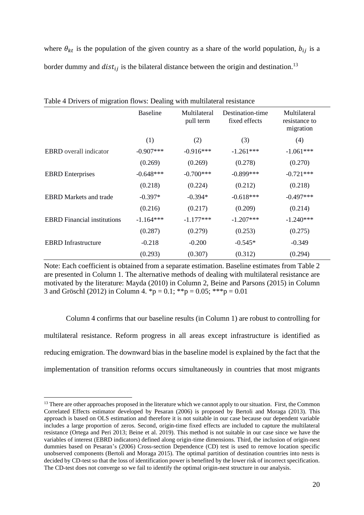where  $\theta_{kt}$  is the population of the given country as a share of the world population,  $b_{ij}$  is a border dummy and  $dist_{ij}$  is the bilateral distance between the origin and destination.<sup>13</sup>

| Table + Dirvers of Inigration Hows. Dealing with inditional resistance |                 |                           |                                   |                                            |  |  |  |
|------------------------------------------------------------------------|-----------------|---------------------------|-----------------------------------|--------------------------------------------|--|--|--|
|                                                                        | <b>Baseline</b> | Multilateral<br>pull term | Destination-time<br>fixed effects | Multilateral<br>resistance to<br>migration |  |  |  |
|                                                                        | (1)             | (2)                       | (3)                               | (4)                                        |  |  |  |
| <b>EBRD</b> overall indicator                                          | $-0.907***$     | $-0.916***$               | $-1.261***$                       | $-1.061***$                                |  |  |  |
|                                                                        | (0.269)         | (0.269)                   | (0.278)                           | (0.270)                                    |  |  |  |
| <b>EBRD</b> Enterprises                                                | $-0.648***$     | $-0.700***$               | $-0.899***$                       | $-0.721***$                                |  |  |  |
|                                                                        | (0.218)         | (0.224)                   | (0.212)                           | (0.218)                                    |  |  |  |
| <b>EBRD</b> Markets and trade                                          | $-0.397*$       | $-0.394*$                 | $-0.618***$                       | $-0.497***$                                |  |  |  |
|                                                                        | (0.216)         | (0.217)                   | (0.209)                           | (0.214)                                    |  |  |  |
| <b>EBRD</b> Financial institutions                                     | $-1.164***$     | $-1.177***$               | $-1.207***$                       | $-1.240***$                                |  |  |  |
|                                                                        | (0.287)         | (0.279)                   | (0.253)                           | (0.275)                                    |  |  |  |
| <b>EBRD</b> Infrastructure                                             | $-0.218$        | $-0.200$                  | $-0.545*$                         | $-0.349$                                   |  |  |  |
|                                                                        | (0.293)         | (0.307)                   | (0.312)                           | (0.294)                                    |  |  |  |

Table 4 Drivers of migration flows: Dealing with multilateral resistance

Note: Each coefficient is obtained from a separate estimation. Baseline estimates from Table 2 are presented in Column 1. The alternative methods of dealing with multilateral resistance are motivated by the literature: Mayda (2010) in Column 2, Beine and Parsons (2015) in Column 3 and Gröschl (2012) in Column 4. \*p = 0.1; \*\*p = 0.05; \*\*\*p = 0.01

Column 4 confirms that our baseline results (in Column 1) are robust to controlling for multilateral resistance. Reform progress in all areas except infrastructure is identified as reducing emigration. The downward bias in the baseline model is explained by the fact that the implementation of transition reforms occurs simultaneously in countries that most migrants

<sup>&</sup>lt;sup>13</sup> There are other approaches proposed in the literature which we cannot apply to our situation. First, the Common Correlated Effects estimator developed by Pesaran (2006) is proposed by Bertoli and Moraga (2013). This approach is based on OLS estimation and therefore it is not suitable in our case because our dependent variable includes a large proportion of zeros. Second, origin-time fixed effects are included to capture the multilateral resistance (Ortega and Peri 2013; Beine et al. 2019). This method is not suitable in our case since we have the variables of interest (EBRD indicators) defined along origin-time dimensions. Third, the inclusion of origin-nest dummies based on Pesaran's (2006) Cross-section Dependence (CD) test is used to remove location specific unobserved components (Bertoli and Moraga 2015). The optimal partition of destination countries into nests is decided by CD-test so that the loss of identification power is benefited by the lower risk of incorrect specification. The CD-test does not converge so we fail to identify the optimal origin-nest structure in our analysis.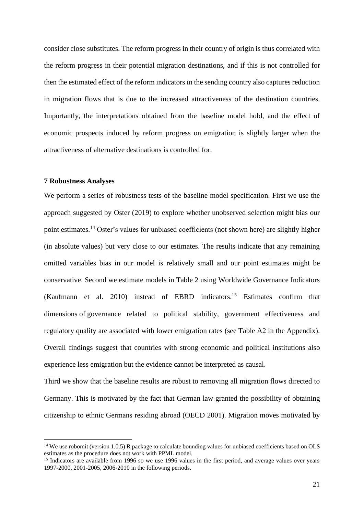consider close substitutes. The reform progress in their country of origin is thus correlated with the reform progress in their potential migration destinations, and if this is not controlled for then the estimated effect of the reform indicators in the sending country also captures reduction in migration flows that is due to the increased attractiveness of the destination countries. Importantly, the interpretations obtained from the baseline model hold, and the effect of economic prospects induced by reform progress on emigration is slightly larger when the attractiveness of alternative destinations is controlled for.

#### **7 Robustness Analyses**

We perform a series of robustness tests of the baseline model specification. First we use the approach suggested by Oster (2019) to explore whether unobserved selection might bias our point estimates.<sup>14</sup> Oster's values for unbiased coefficients (not shown here) are slightly higher (in absolute values) but very close to our estimates. The results indicate that any remaining omitted variables bias in our model is relatively small and our point estimates might be conservative. Second we estimate models in Table 2 using Worldwide Governance Indicators (Kaufmann et al. 2010) instead of EBRD indicators.<sup>15</sup> Estimates confirm that dimensions of governance related to political stability, government effectiveness and regulatory quality are associated with lower emigration rates (see Table A2 in the Appendix). Overall findings suggest that countries with strong economic and political institutions also experience less emigration but the evidence cannot be interpreted as causal.

Third we show that the baseline results are robust to removing all migration flows directed to Germany. This is motivated by the fact that German law granted the possibility of obtaining citizenship to ethnic Germans residing abroad (OECD 2001). Migration moves motivated by

<sup>&</sup>lt;sup>14</sup> We use robomit (version 1.0.5) R package to calculate bounding values for unbiased coefficients based on OLS estimates as the procedure does not work with PPML model.

<sup>&</sup>lt;sup>15</sup> Indicators are available from 1996 so we use 1996 values in the first period, and average values over years 1997-2000, 2001-2005, 2006-2010 in the following periods.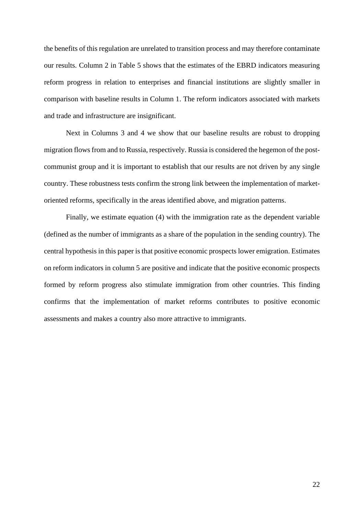the benefits of this regulation are unrelated to transition process and may therefore contaminate our results. Column 2 in Table 5 shows that the estimates of the EBRD indicators measuring reform progress in relation to enterprises and financial institutions are slightly smaller in comparison with baseline results in Column 1. The reform indicators associated with markets and trade and infrastructure are insignificant.

Next in Columns 3 and 4 we show that our baseline results are robust to dropping migration flows from and to Russia, respectively. Russia is considered the hegemon of the postcommunist group and it is important to establish that our results are not driven by any single country. These robustness tests confirm the strong link between the implementation of marketoriented reforms, specifically in the areas identified above, and migration patterns.

Finally, we estimate equation (4) with the immigration rate as the dependent variable (defined as the number of immigrants as a share of the population in the sending country). The central hypothesis in this paper is that positive economic prospects lower emigration. Estimates on reform indicators in column 5 are positive and indicate that the positive economic prospects formed by reform progress also stimulate immigration from other countries. This finding confirms that the implementation of market reforms contributes to positive economic assessments and makes a country also more attractive to immigrants.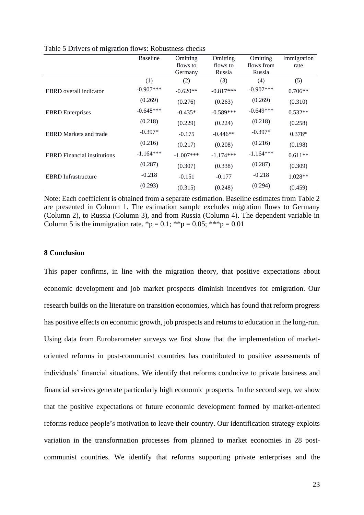|                                    | <b>Baseline</b> | Omitting    | Omitting    | Omitting    | Immigration |
|------------------------------------|-----------------|-------------|-------------|-------------|-------------|
|                                    |                 | flows to    | flows to    | flows from  | rate        |
|                                    |                 | Germany     | Russia      | Russia      |             |
|                                    | (1)             | (2)         | (3)         | (4)         | (5)         |
| <b>EBRD</b> overall indicator      | $-0.907***$     | $-0.620**$  | $-0.817***$ | $-0.907***$ | $0.706**$   |
|                                    | (0.269)         | (0.276)     | (0.263)     | (0.269)     | (0.310)     |
| <b>EBRD</b> Enterprises            | $-0.648***$     | $-0.435*$   | $-0.589***$ | $-0.649***$ | $0.532**$   |
|                                    | (0.218)         | (0.229)     | (0.224)     | (0.218)     | (0.258)     |
| <b>EBRD</b> Markets and trade      | $-0.397*$       | $-0.175$    | $-0.446**$  | $-0.397*$   | $0.378*$    |
|                                    | (0.216)         | (0.217)     | (0.208)     | (0.216)     | (0.198)     |
| <b>EBRD</b> Financial institutions | $-1.164***$     | $-1.007***$ | $-1.174***$ | $-1.164***$ | $0.611**$   |
|                                    | (0.287)         | (0.307)     | (0.338)     | (0.287)     | (0.309)     |
| <b>EBRD</b> Infrastructure         | $-0.218$        | $-0.151$    | $-0.177$    | $-0.218$    | $1.028**$   |
|                                    | (0.293)         | (0.315)     | (0.248)     | (0.294)     | (0.459)     |

Table 5 Drivers of migration flows: Robustness checks

Note: Each coefficient is obtained from a separate estimation. Baseline estimates from Table 2 are presented in Column 1. The estimation sample excludes migration flows to Germany (Column 2), to Russia (Column 3), and from Russia (Column 4). The dependent variable in Column 5 is the immigration rate. \*p = 0.1; \*\*p = 0.05; \*\*\*p = 0.01

## **8 Conclusion**

This paper confirms, in line with the migration theory, that positive expectations about economic development and job market prospects diminish incentives for emigration. Our research builds on the literature on transition economies, which has found that reform progress has positive effects on economic growth, job prospects and returns to education in the long-run. Using data from Eurobarometer surveys we first show that the implementation of marketoriented reforms in post-communist countries has contributed to positive assessments of individuals' financial situations. We identify that reforms conducive to private business and financial services generate particularly high economic prospects. In the second step, we show that the positive expectations of future economic development formed by market-oriented reforms reduce people's motivation to leave their country. Our identification strategy exploits variation in the transformation processes from planned to market economies in 28 postcommunist countries. We identify that reforms supporting private enterprises and the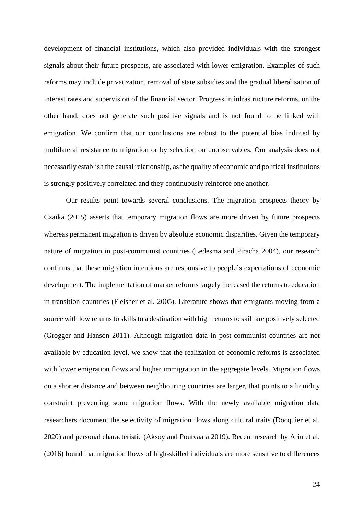development of financial institutions, which also provided individuals with the strongest signals about their future prospects, are associated with lower emigration. Examples of such reforms may include privatization, removal of state subsidies and the gradual liberalisation of interest rates and supervision of the financial sector. Progress in infrastructure reforms, on the other hand, does not generate such positive signals and is not found to be linked with emigration. We confirm that our conclusions are robust to the potential bias induced by multilateral resistance to migration or by selection on unobservables. Our analysis does not necessarily establish the causal relationship, as the quality of economic and political institutions is strongly positively correlated and they continuously reinforce one another.

Our results point towards several conclusions. The migration prospects theory by Czaika (2015) asserts that temporary migration flows are more driven by future prospects whereas permanent migration is driven by absolute economic disparities. Given the temporary nature of migration in post-communist countries (Ledesma and Piracha 2004), our research confirms that these migration intentions are responsive to people's expectations of economic development. The implementation of market reforms largely increased the returns to education in transition countries (Fleisher et al. 2005). Literature shows that emigrants moving from a source with low returns to skills to a destination with high returns to skill are positively selected (Grogger and Hanson 2011). Although migration data in post-communist countries are not available by education level, we show that the realization of economic reforms is associated with lower emigration flows and higher immigration in the aggregate levels. Migration flows on a shorter distance and between neighbouring countries are larger, that points to a liquidity constraint preventing some migration flows. With the newly available migration data researchers document the selectivity of migration flows along cultural traits (Docquier et al. 2020) and personal characteristic (Aksoy and Poutvaara 2019). Recent research by Ariu et al. (2016) found that migration flows of high-skilled individuals are more sensitive to differences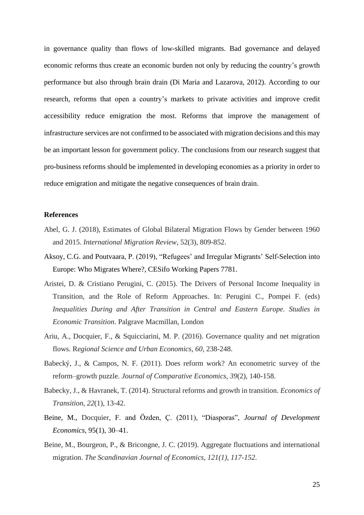in governance quality than flows of low-skilled migrants. Bad governance and delayed economic reforms thus create an economic burden not only by reducing the country's growth performance but also through brain drain (Di Maria and Lazarova, 2012). According to our research, reforms that open a country's markets to private activities and improve credit accessibility reduce emigration the most. Reforms that improve the management of infrastructure services are not confirmed to be associated with migration decisions and this may be an important lesson for government policy. The conclusions from our research suggest that pro-business reforms should be implemented in developing economies as a priority in order to reduce emigration and mitigate the negative consequences of brain drain.

#### **References**

- Abel, G. J. (2018), Estimates of Global Bilateral Migration Flows by Gender between 1960 and 2015. *International Migration Review*, 52(3), 809-852.
- Aksoy, C.G. and Poutvaara, P. (2019), "Refugees' and Irregular Migrants' Self-Selection into Europe: Who Migrates Where?, CESifo Working Papers 7781.
- Aristei, D. & Cristiano Perugini, C. (2015). The Drivers of Personal Income Inequality in Transition, and the Role of Reform Approaches. In: Perugini C., Pompei F. (eds) *Inequalities During and After Transition in Central and Eastern Europe. Studies in Economic Transition*. Palgrave Macmillan, London
- Ariu, A., Docquier, F., & Squicciarini, M. P. (2016). Governance quality and net migration flows. R*egional Science and Urban Economics*, *60*, 238-248.
- Babecký, J., & Campos, N. F. (2011). Does reform work? An econometric survey of the reform–growth puzzle. *Journal of Comparative Economics*, *39*(2), 140-158.
- Babecky, J., & Havranek, T. (2014). Structural reforms and growth in transition. *Economics of Transition*, *22*(1), 13-42.
- Beine, M., Docquier, F. and Özden, Ç. (2011), "Diasporas", *Journal of Development Economics*, 95(1), 30–41.
- Beine, M., Bourgeon, P., & Bricongne, J. C. (2019). Aggregate fluctuations and international migration. *The Scandinavian Journal of Economics, 121(1), 117-152*.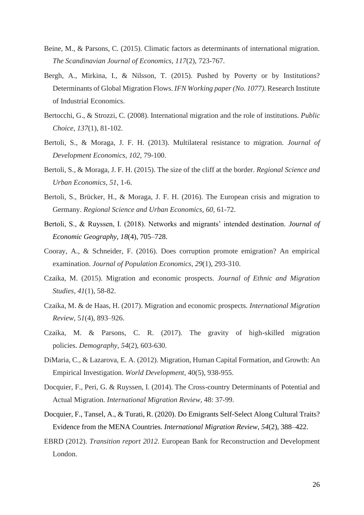- Beine, M., & Parsons, C. (2015). Climatic factors as determinants of international migration. *The Scandinavian Journal of Economics*, *117*(2), 723-767.
- Bergh, A., Mirkina, I., & Nilsson, T. (2015). Pushed by Poverty or by Institutions? Determinants of Global Migration Flows. *IFN Working paper (No. 1077).* Research Institute of Industrial Economics.
- Bertocchi, G., & Strozzi, C. (2008). International migration and the role of institutions. *Public Choice*, *137*(1), 81-102.
- Bertoli, S., & Moraga, J. F. H. (2013). Multilateral resistance to migration. *Journal of Development Economics*, *102*, 79-100.
- Bertoli, S., & Moraga, J. F. H. (2015). The size of the cliff at the border. *Regional Science and Urban Economics*, *51*, 1-6.
- Bertoli, S., Brücker, H., & Moraga, J. F. H. (2016). The European crisis and migration to Germany. *Regional Science and Urban Economics*, *60*, 61-72.
- Bertoli, S., & Ruyssen, I. (2018). Networks and migrants' intended destination. *Journal of Economic Geography*, *18*(4), 705–728.
- Cooray, A., & Schneider, F. (2016). Does corruption promote emigration? An empirical examination. *Journal of Population Economics*, *29*(1), 293-310.
- Czaika, M. (2015). Migration and economic prospects. *Journal of Ethnic and Migration Studies*, *41*(1), 58-82.
- Czaika, M. & de Haas, H. (2017). Migration and economic prospects. *International Migration Review*, 5*1*(4), 893–926.
- Czaika, M. & Parsons, C. R. (2017). The gravity of high-skilled migration policies. *Demography*, *54*(2), 603-630.
- DiMaria, C., & Lazarova, E. A. (2012). Migration, Human Capital Formation, and Growth: An Empirical Investigation. *World Development,* 40(5), 938-955.
- Docquier, F., Peri, G. & Ruyssen, I. (2014). The Cross-country Determinants of Potential and Actual Migration. *International Migration Review*, 48: 37-99.
- Docquier, F., Tansel, A., & Turati, R. (2020). Do Emigrants Self-Select Along Cultural Traits? Evidence from the MENA Countries. *International Migration Review*, *54*(2), 388–422.
- EBRD (2012). *Transition report 2012*. European Bank for Reconstruction and Development London.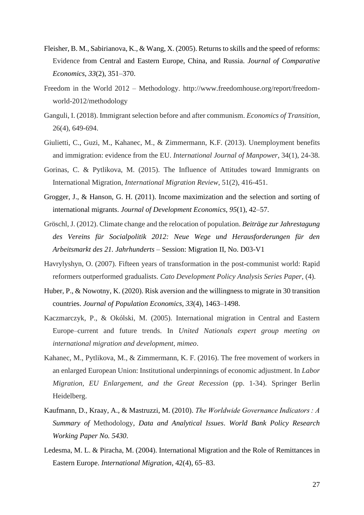- Fleisher, B. M., Sabirianova, K., & Wang, X. (2005). Returns to skills and the speed of reforms: Evidence from Central and Eastern Europe, China, and Russia. *Journal of Comparative Economics*, *33*(2), 351–370.
- Freedom in the World 2012 Methodology. http://www.freedomhouse.org/report/freedomworld-2012/methodology
- Ganguli, I. (2018). Immigrant selection before and after communism. *Economics of Transition*, 26(4), 649-694.
- Giulietti, C., Guzi, M., Kahanec, M., & Zimmermann, K.F. (2013). Unemployment benefits and immigration: evidence from the EU. *International Journal of Manpower*, 34(1), 24-38.
- Gorinas, C. & Pytlikova, M. (2015). The Influence of Attitudes toward Immigrants on International Migration, *International Migration Review*, 51(2), 416-451.
- Grogger, J., & Hanson, G. H. (2011). Income maximization and the selection and sorting of international migrants. *Journal of Development Economics*, *95*(1), 42–57.
- Gröschl, J. (2012). Climate change and the relocation of population. *Beiträge zur Jahrestagung des Vereins für Socialpolitik 2012: Neue Wege und Herausforderungen für den Arbeitsmarkt des 21. Jahrhunderts* – Session: Migration II, No. D03-V1
- Havrylyshyn, O. (2007). Fifteen years of transformation in the post-communist world: Rapid reformers outperformed gradualists. *Cato Development Policy Analysis Series Paper*, (4).
- Huber, P., & Nowotny, K. (2020). Risk aversion and the willingness to migrate in 30 transition countries. *Journal of Population Economics*, *33*(4), 1463–1498.
- Kaczmarczyk, P., & Okólski, M. (2005). International migration in Central and Eastern Europe–current and future trends. In *United Nationals expert group meeting on international migration and development, mimeo*.
- Kahanec, M., Pytlikova, M., & Zimmermann, K. F. (2016). The free movement of workers in an enlarged European Union: Institutional underpinnings of economic adjustment. In *Labor Migration, EU Enlargement, and the Great Recession* (pp. 1-34). Springer Berlin Heidelberg.
- Kaufmann, D., Kraay, A., & Mastruzzi, M. (2010). *The Worldwide Governance Indicators : A Summary of* Methodology*, Data and Analytical Issues*. *World Bank Policy Research Working Paper No. 5430*.
- Ledesma, M. L. & Piracha, M. (2004). International Migration and the Role of Remittances in Eastern Europe. *International Migration*, 42(4), 65–83.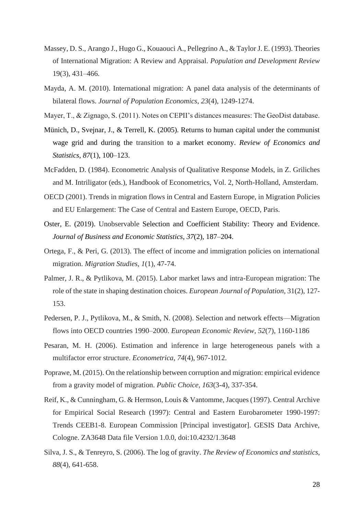- Massey, D. S., Arango J., Hugo G., Kouaouci A., Pellegrino A., & Taylor J. E. (1993). Theories of International Migration: A Review and Appraisal. *Population and Development Review* 19(3), 431–466.
- Mayda, A. M. (2010). International migration: A panel data analysis of the determinants of bilateral flows. *Journal of Population Economics*, *23*(4), 1249-1274.
- Mayer, T., & Zignago, S. (2011). Notes on CEPII's distances measures: The GeoDist database.
- Münich, D., Svejnar, J., & Terrell, K. (2005). Returns to human capital under the communist wage grid and during the transition to a market economy. *Review of Economics and Statistics*, *87*(1), 100–123.
- McFadden, D. (1984). Econometric Analysis of Qualitative Response Models, in Z. Griliches and M. Intriligator (eds.), Handbook of Econometrics, Vol. 2, North-Holland, Amsterdam.
- OECD (2001). Trends in migration flows in Central and Eastern Europe, in Migration Policies and EU Enlargement: The Case of Central and Eastern Europe, OECD, Paris.
- Oster, E. (2019). Unobservable Selection and Coefficient Stability: Theory and Evidence. *Journal of Business and Economic Statistics*, *37*(2), 187–204.
- Ortega, F., & Peri, G. (2013). The effect of income and immigration policies on international migration. *Migration Studies*, *1*(1), 47-74.
- Palmer, J. R., & Pytlikova, M. (2015). Labor market laws and intra-European migration: The role of the state in shaping destination choices. *European Journal of Population*, 31(2), 127- 153.
- Pedersen, P. J., Pytlikova, M., & Smith, N. (2008). Selection and network effects—Migration flows into OECD countries 1990–2000. *European Economic Review*, *52*(7), 1160-1186
- Pesaran, M. H. (2006). Estimation and inference in large heterogeneous panels with a multifactor error structure. *Econometrica*, *74*(4), 967-1012.
- Poprawe, M. (2015). On the relationship between corruption and migration: empirical evidence from a gravity model of migration. *Public Choice*, *163*(3-4), 337-354.
- Reif, K., & Cunningham, G. & Hermson, Louis & Vantomme, Jacques (1997). Central Archive for Empirical Social Research (1997): Central and Eastern Eurobarometer 1990-1997: Trends CEEB1-8. European Commission [Principal investigator]. GESIS Data Archive, Cologne. ZA3648 Data file Version 1.0.0, doi:10.4232/1.3648
- Silva, J. S., & Tenreyro, S. (2006). The log of gravity. *The Review of Economics and statistics*, *88*(4), 641-658.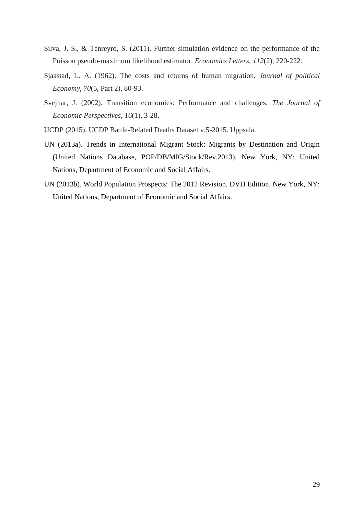- Silva, J. S., & Tenreyro, S. (2011). Further simulation evidence on the performance of the Poisson pseudo-maximum likelihood estimator. *Economics Letters*, *112*(2), 220-222.
- Sjaastad, L. A. (1962). The costs and returns of human migration. *Journal of political Economy*, *70*(5, Part 2), 80-93.
- Svejnar, J. (2002). Transition economies: Performance and challenges. *The Journal of Economic Perspectives*, *16*(1), 3-28.
- UCDP (2015). UCDP Battle-Related Deaths Dataset v.5-2015. Uppsala.
- UN (2013a). Trends in International Migrant Stock: Migrants by Destination and Origin (United Nations Database, POP/DB/MIG/Stock/Rev.2013). New York, NY: United Nations, Department of Economic and Social Affairs.
- UN (2013b). World Population Prospects: The 2012 Revision. DVD Edition. New York, NY: United Nations, Department of Economic and Social Affairs.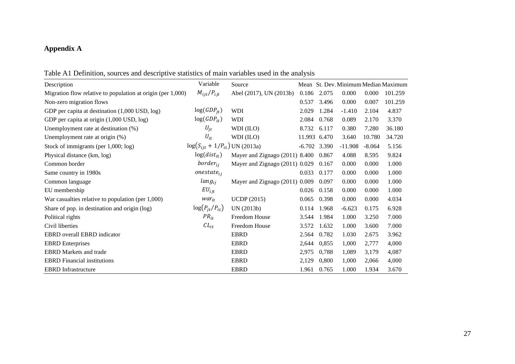# **Appendix A**

| Table A1 Definition, sources and descriptive statistics of main variables used in the analysis |  |  |  |  |
|------------------------------------------------------------------------------------------------|--|--|--|--|
|------------------------------------------------------------------------------------------------|--|--|--|--|

| racio Tri Dominichi, sources and descriptive statistics of main variables ascd in the analysis |                                         |                                |       |                |           |          |                                      |
|------------------------------------------------------------------------------------------------|-----------------------------------------|--------------------------------|-------|----------------|-----------|----------|--------------------------------------|
| Description                                                                                    | Variable                                | Source                         |       |                |           |          | Mean St. Dev. Minimum Median Maximum |
| Migration flow relative to population at origin (per 1,000)                                    | $M_{ijt}/P_{ijt}$                       | Abel (2017), UN (2013b)        | 0.186 | 2.075          | 0.000     | 0.000    | 101.259                              |
| Non-zero migration flows                                                                       |                                         |                                | 0.537 | 3.496          | 0.000     | 0.007    | 101.259                              |
| GDP per capita at destination $(1,000$ USD, $log$ )                                            | $log(GDP_{it})$                         | <b>WDI</b>                     | 2.029 | 1.284          | $-1.410$  | 2.104    | 4.837                                |
| GDP per capita at origin (1,000 USD, log)                                                      | $log(GDP_{it})$                         | <b>WDI</b>                     | 2.084 | 0.768          | 0.089     | 2.170    | 3.370                                |
| Unemployment rate at destination (%)                                                           | $U_{it}$                                | WDI (ILO)                      | 8.732 | 6.117          | 0.380     | 7.280    | 36.180                               |
| Unemployment rate at origin (%)                                                                | $U_{it}$                                | WDI (ILO)                      |       | 11.993 6.470   | 3.640     | 10.780   | 34.720                               |
| Stock of immigrants (per $1,000$ ; log)                                                        | $\log(S_{i\,it} + 1/P_{it})$ UN (2013a) |                                |       | $-6.702$ 3.390 | $-11.908$ | $-8.064$ | 5.156                                |
| Physical distance (km, log)                                                                    | $log(dist_{it})$                        | Mayer and Zignago (2011) 8.400 |       | 0.867          | 4.088     | 8.595    | 9.824                                |
| Common border                                                                                  | $border_{ii}$                           | Mayer and Zignago (2011) 0.029 |       | 0.167          | 0.000     | 0.000    | 1.000                                |
| Same country in 1980s                                                                          | $one state_{ii}$                        |                                | 0.033 | 0.177          | 0.000     | 0.000    | 1.000                                |
| Common language                                                                                | $lang_{ij}$                             | Mayer and Zignago (2011) 0.009 |       | 0.097          | 0.000     | 0.000    | 1.000                                |
| EU membership                                                                                  | $EU_{ijt}$                              |                                | 0.026 | 0.158          | 0.000     | 0.000    | 1.000                                |
| War casualties relative to population (per $1,000$ )                                           | $war_{it}$                              | <b>UCDP</b> (2015)             | 0.065 | 0.398          | 0.000     | 0.000    | 4.034                                |
| Share of pop. in destination and origin (log)                                                  | $\log(P_{it}/P_{it})$                   | UN (2013b)                     | 0.114 | 1.968          | $-6.623$  | 0.175    | 6.928                                |
| Political rights                                                                               | $PR_{it}$                               | Freedom House                  | 3.544 | 1.984          | 1.000     | 3.250    | 7.000                                |
| Civil liberties                                                                                | $CL_{it}$                               | Freedom House                  | 3.572 | 1.632          | 1.000     | 3.600    | 7.000                                |
| EBRD overall EBRD indicator                                                                    |                                         | <b>EBRD</b>                    | 2.564 | 0.782          | 1.030     | 2.675    | 3.962                                |
| <b>EBRD</b> Enterprises                                                                        |                                         | <b>EBRD</b>                    | 2,644 | 0,855          | 1,000     | 2,777    | 4,000                                |
| <b>EBRD</b> Markets and trade                                                                  |                                         | <b>EBRD</b>                    | 2,975 | 0.788          | 1,089     | 3,179    | 4,087                                |
| <b>EBRD</b> Financial institutions                                                             |                                         | <b>EBRD</b>                    | 2,129 | 0,800          | 1,000     | 2,066    | 4,000                                |
| <b>EBRD</b> Infrastructure                                                                     |                                         | <b>EBRD</b>                    | 1.961 | 0.765          | 1.000     | 1.934    | 3.670                                |